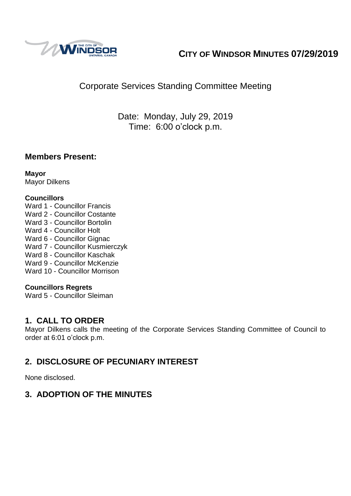

# **CITY OF WINDSOR MINUTES 07/29/2019**

## Corporate Services Standing Committee Meeting

Date: Monday, July 29, 2019 Time: 6:00 o'clock p.m.

### **Members Present:**

**Mayor** Mayor Dilkens

#### **Councillors**

Ward 1 - Councillor Francis Ward 2 - Councillor Costante Ward 3 - Councillor Bortolin Ward 4 - Councillor Holt Ward 6 - Councillor Gignac Ward 7 - Councillor Kusmierczyk Ward 8 - Councillor Kaschak Ward 9 - Councillor McKenzie Ward 10 - Councillor Morrison

#### **Councillors Regrets**

Ward 5 - Councillor Sleiman

### **1. CALL TO ORDER**

Mayor Dilkens calls the meeting of the Corporate Services Standing Committee of Council to order at 6:01 o'clock p.m.

### **2. DISCLOSURE OF PECUNIARY INTEREST**

None disclosed.

### **3. ADOPTION OF THE MINUTES**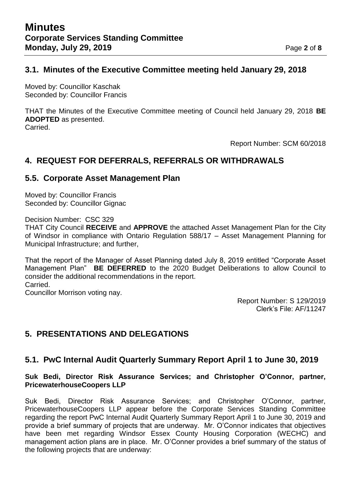#### **3.1. Minutes of the Executive Committee meeting held January 29, 2018**

Moved by: Councillor Kaschak Seconded by: Councillor Francis

THAT the Minutes of the Executive Committee meeting of Council held January 29, 2018 **BE ADOPTED** as presented. Carried.

Report Number: SCM 60/2018

### **4. REQUEST FOR DEFERRALS, REFERRALS OR WITHDRAWALS**

#### **5.5. Corporate Asset Management Plan**

Moved by: Councillor Francis Seconded by: Councillor Gignac

Decision Number: CSC 329

THAT City Council **RECEIVE** and **APPROVE** the attached Asset Management Plan for the City of Windsor in compliance with Ontario Regulation 588/17 – Asset Management Planning for Municipal Infrastructure; and further,

That the report of the Manager of Asset Planning dated July 8, 2019 entitled "Corporate Asset Management Plan" **BE DEFERRED** to the 2020 Budget Deliberations to allow Council to consider the additional recommendations in the report. Carried.

Councillor Morrison voting nay.

Report Number: S 129/2019 Clerk's File: AF/11247

## **5. PRESENTATIONS AND DELEGATIONS**

#### **5.1. PwC Internal Audit Quarterly Summary Report April 1 to June 30, 2019**

#### **Suk Bedi, Director Risk Assurance Services; and Christopher O'Connor, partner, PricewaterhouseCoopers LLP**

Suk Bedi, Director Risk Assurance Services; and Christopher O'Connor, partner, PricewaterhouseCoopers LLP appear before the Corporate Services Standing Committee regarding the report PwC Internal Audit Quarterly Summary Report April 1 to June 30, 2019 and provide a brief summary of projects that are underway. Mr. O'Connor indicates that objectives have been met regarding Windsor Essex County Housing Corporation (WECHC) and management action plans are in place. Mr. O'Conner provides a brief summary of the status of the following projects that are underway: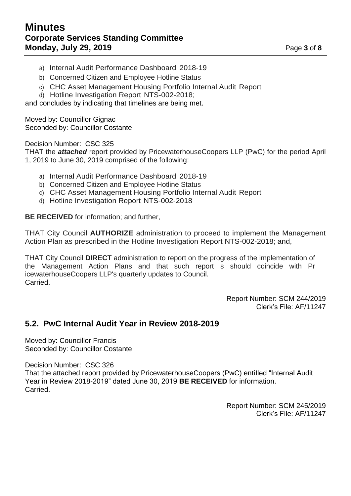## **Minutes Corporate Services Standing Committee Monday, July 29, 2019 Page 3** of **8**

- a) Internal Audit Performance Dashboard 2018-19
- b) Concerned Citizen and Employee Hotline Status
- c) CHC Asset Management Housing Portfolio Internal Audit Report
- d) Hotline Investigation Report NTS-002-2018;

and concludes by indicating that timelines are being met.

Moved by: Councillor Gignac Seconded by: Councillor Costante

Decision Number: CSC 325

THAT the *attached* report provided by PricewaterhouseCoopers LLP (PwC) for the period April 1, 2019 to June 30, 2019 comprised of the following:

- a) Internal Audit Performance Dashboard 2018-19
- b) Concerned Citizen and Employee Hotline Status
- c) CHC Asset Management Housing Portfolio Internal Audit Report
- d) Hotline Investigation Report NTS-002-2018

**BE RECEIVED** for information; and further,

THAT City Council **AUTHORIZE** administration to proceed to implement the Management Action Plan as prescribed in the Hotline Investigation Report NTS-002-2018; and,

THAT City Council **DIRECT** administration to report on the progress of the implementation of the Management Action Plans and that such report s should coincide with Pr icewaterhouseCoopers LLP's quarterly updates to Council. Carried.

> Report Number: SCM 244/2019 Clerk's File: AF/11247

### **5.2. PwC Internal Audit Year in Review 2018-2019**

Moved by: Councillor Francis Seconded by: Councillor Costante

Decision Number: CSC 326

That the attached report provided by PricewaterhouseCoopers (PwC) entitled "Internal Audit Year in Review 2018-2019" dated June 30, 2019 **BE RECEIVED** for information. Carried.

> Report Number: SCM 245/2019 Clerk's File: AF/11247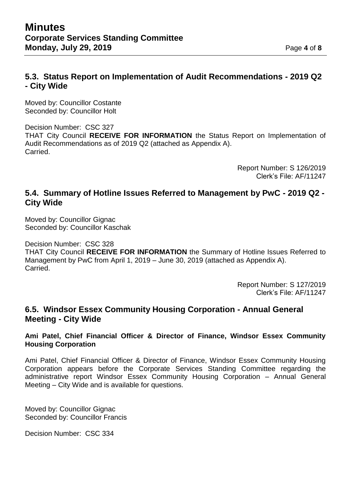### **5.3. Status Report on Implementation of Audit Recommendations - 2019 Q2 - City Wide**

Moved by: Councillor Costante Seconded by: Councillor Holt

Decision Number: CSC 327 THAT City Council **RECEIVE FOR INFORMATION** the Status Report on Implementation of Audit Recommendations as of 2019 Q2 (attached as Appendix A). Carried.

> Report Number: S 126/2019 Clerk's File: AF/11247

#### **5.4. Summary of Hotline Issues Referred to Management by PwC - 2019 Q2 - City Wide**

Moved by: Councillor Gignac Seconded by: Councillor Kaschak

Decision Number: CSC 328 THAT City Council **RECEIVE FOR INFORMATION** the Summary of Hotline Issues Referred to Management by PwC from April 1, 2019 – June 30, 2019 (attached as Appendix A). Carried.

> Report Number: S 127/2019 Clerk's File: AF/11247

#### **6.5. Windsor Essex Community Housing Corporation - Annual General Meeting - City Wide**

**Ami Patel, Chief Financial Officer & Director of Finance, Windsor Essex Community Housing Corporation** 

Ami Patel, Chief Financial Officer & Director of Finance, Windsor Essex Community Housing Corporation appears before the Corporate Services Standing Committee regarding the administrative report Windsor Essex Community Housing Corporation – Annual General Meeting – City Wide and is available for questions.

Moved by: Councillor Gignac Seconded by: Councillor Francis

Decision Number: CSC 334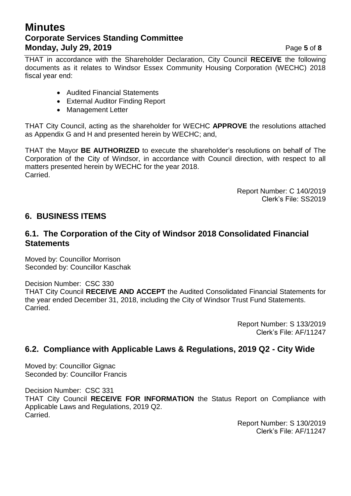## **Minutes Corporate Services Standing Committee Monday, July 29, 2019 Page 5** of **8**

THAT in accordance with the Shareholder Declaration, City Council **RECEIVE** the following documents as it relates to Windsor Essex Community Housing Corporation (WECHC) 2018 fiscal year end:

- Audited Financial Statements
- External Auditor Finding Report
- Management Letter

THAT City Council, acting as the shareholder for WECHC **APPROVE** the resolutions attached as Appendix G and H and presented herein by WECHC; and,

THAT the Mayor **BE AUTHORIZED** to execute the shareholder's resolutions on behalf of The Corporation of the City of Windsor, in accordance with Council direction, with respect to all matters presented herein by WECHC for the year 2018. Carried.

> Report Number: C 140/2019 Clerk's File: SS2019

### **6. BUSINESS ITEMS**

#### **6.1. The Corporation of the City of Windsor 2018 Consolidated Financial Statements**

Moved by: Councillor Morrison Seconded by: Councillor Kaschak

Decision Number: CSC 330 THAT City Council **RECEIVE AND ACCEPT** the Audited Consolidated Financial Statements for the year ended December 31, 2018, including the City of Windsor Trust Fund Statements. Carried.

> Report Number: S 133/2019 Clerk's File: AF/11247

### **6.2. Compliance with Applicable Laws & Regulations, 2019 Q2 - City Wide**

Moved by: Councillor Gignac Seconded by: Councillor Francis

Decision Number: CSC 331 THAT City Council **RECEIVE FOR INFORMATION** the Status Report on Compliance with Applicable Laws and Regulations, 2019 Q2. Carried.

Report Number: S 130/2019 Clerk's File: AF/11247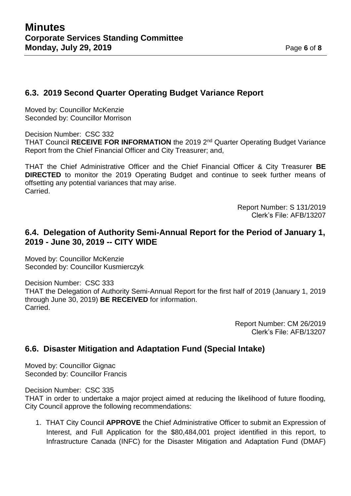#### **6.3. 2019 Second Quarter Operating Budget Variance Report**

Moved by: Councillor McKenzie Seconded by: Councillor Morrison

Decision Number: CSC 332 THAT Council **RECEIVE FOR INFORMATION** the 2019 2nd Quarter Operating Budget Variance Report from the Chief Financial Officer and City Treasurer; and,

THAT the Chief Administrative Officer and the Chief Financial Officer & City Treasurer **BE DIRECTED** to monitor the 2019 Operating Budget and continue to seek further means of offsetting any potential variances that may arise. Carried.

> Report Number: S 131/2019 Clerk's File: AFB/13207

#### **6.4. Delegation of Authority Semi-Annual Report for the Period of January 1, 2019 - June 30, 2019 -- CITY WIDE**

Moved by: Councillor McKenzie Seconded by: Councillor Kusmierczyk

Decision Number: CSC 333 THAT the Delegation of Authority Semi-Annual Report for the first half of 2019 (January 1, 2019 through June 30, 2019) **BE RECEIVED** for information. Carried.

> Report Number: CM 26/2019 Clerk's File: AFB/13207

#### **6.6. Disaster Mitigation and Adaptation Fund (Special Intake)**

Moved by: Councillor Gignac Seconded by: Councillor Francis

Decision Number: CSC 335

THAT in order to undertake a major project aimed at reducing the likelihood of future flooding, City Council approve the following recommendations:

1. THAT City Council **APPROVE** the Chief Administrative Officer to submit an Expression of Interest, and Full Application for the \$80,484,001 project identified in this report, to Infrastructure Canada (INFC) for the Disaster Mitigation and Adaptation Fund (DMAF)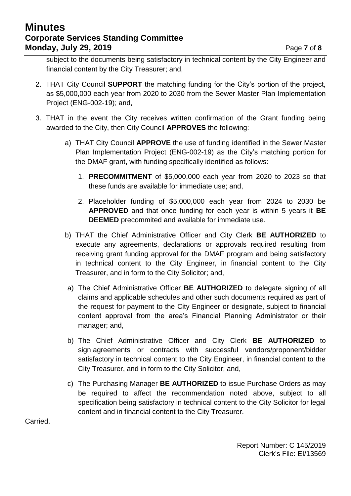## **Minutes Corporate Services Standing Committee Monday, July 29, 2019 Page 7** of **8**

subject to the documents being satisfactory in technical content by the City Engineer and financial content by the City Treasurer; and,

- 2. THAT City Council **SUPPORT** the matching funding for the City's portion of the project, as \$5,000,000 each year from 2020 to 2030 from the Sewer Master Plan Implementation Project (ENG-002-19); and,
- 3. THAT in the event the City receives written confirmation of the Grant funding being awarded to the City, then City Council **APPROVES** the following:
	- a) THAT City Council **APPROVE** the use of funding identified in the Sewer Master Plan Implementation Project (ENG-002-19) as the City's matching portion for the DMAF grant, with funding specifically identified as follows:
		- 1. **PRECOMMITMENT** of \$5,000,000 each year from 2020 to 2023 so that these funds are available for immediate use; and,
		- 2. Placeholder funding of \$5,000,000 each year from 2024 to 2030 be **APPROVED** and that once funding for each year is within 5 years it **BE DEEMED** precommited and available for immediate use.
	- b) THAT the Chief Administrative Officer and City Clerk **BE AUTHORIZED** to execute any agreements, declarations or approvals required resulting from receiving grant funding approval for the DMAF program and being satisfactory in technical content to the City Engineer, in financial content to the City Treasurer, and in form to the City Solicitor; and,
	- a) The Chief Administrative Officer **BE AUTHORIZED** to delegate signing of all claims and applicable schedules and other such documents required as part of the request for payment to the City Engineer or designate, subject to financial content approval from the area's Financial Planning Administrator or their manager; and,
	- b) The Chief Administrative Officer and City Clerk **BE AUTHORIZED** to sign agreements or contracts with successful vendors/proponent/bidder satisfactory in technical content to the City Engineer, in financial content to the City Treasurer, and in form to the City Solicitor; and,
	- c) The Purchasing Manager **BE AUTHORIZED** to issue Purchase Orders as may be required to affect the recommendation noted above, subject to all specification being satisfactory in technical content to the City Solicitor for legal content and in financial content to the City Treasurer.

Carried.